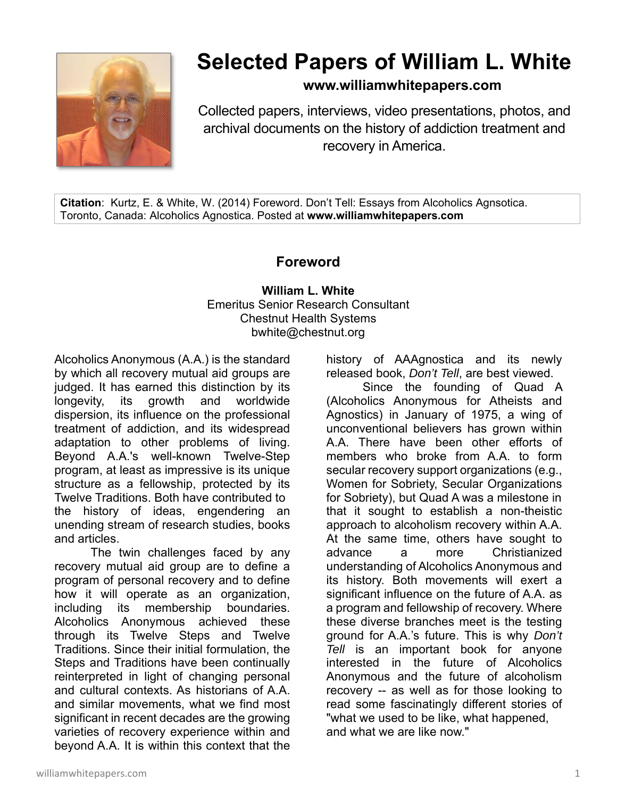

## **Selected Papers of William L. White**

**www.williamwhitepapers.com**

Collected papers, interviews, video presentations, photos, and archival documents on the history of addiction treatment and recovery in America.

**Citation**: Kurtz, E. & White, W. (2014) Foreword. Don't Tell: Essays from Alcoholics Agnsotica. Toronto, Canada: Alcoholics Agnostica. Posted at **www.williamwhitepapers.com** 

## **Foreword**

**William L. White**  Emeritus Senior Research Consultant Chestnut Health Systems bwhite@chestnut.org

Alcoholics Anonymous (A.A.) is the standard by which all recovery mutual aid groups are judged. It has earned this distinction by its longevity, its growth and worldwide dispersion, its influence on the professional treatment of addiction, and its widespread adaptation to other problems of living. Beyond A.A.'s well-known Twelve-Step program, at least as impressive is its unique structure as a fellowship, protected by its Twelve Traditions. Both have contributed to the history of ideas, engendering an unending stream of research studies, books and articles.

The twin challenges faced by any recovery mutual aid group are to define a program of personal recovery and to define how it will operate as an organization, including its membership boundaries. Alcoholics Anonymous achieved these through its Twelve Steps and Twelve Traditions. Since their initial formulation, the Steps and Traditions have been continually reinterpreted in light of changing personal and cultural contexts. As historians of A.A. and similar movements, what we find most significant in recent decades are the growing varieties of recovery experience within and beyond A.A. It is within this context that the

history of AAAgnostica and its newly released book, *Don't Tell*, are best viewed.

Since the founding of Quad A (Alcoholics Anonymous for Atheists and Agnostics) in January of 1975, a wing of unconventional believers has grown within A.A. There have been other efforts of members who broke from A.A. to form secular recovery support organizations (e.g., Women for Sobriety, Secular Organizations for Sobriety), but Quad A was a milestone in that it sought to establish a non-theistic approach to alcoholism recovery within A.A. At the same time, others have sought to advance a more Christianized understanding of Alcoholics Anonymous and its history. Both movements will exert a significant influence on the future of A.A. as a program and fellowship of recovery. Where these diverse branches meet is the testing ground for A.A.'s future. This is why *Don't Tell* is an important book for anyone interested in the future of Alcoholics Anonymous and the future of alcoholism recovery -- as well as for those looking to read some fascinatingly different stories of "what we used to be like, what happened, and what we are like now."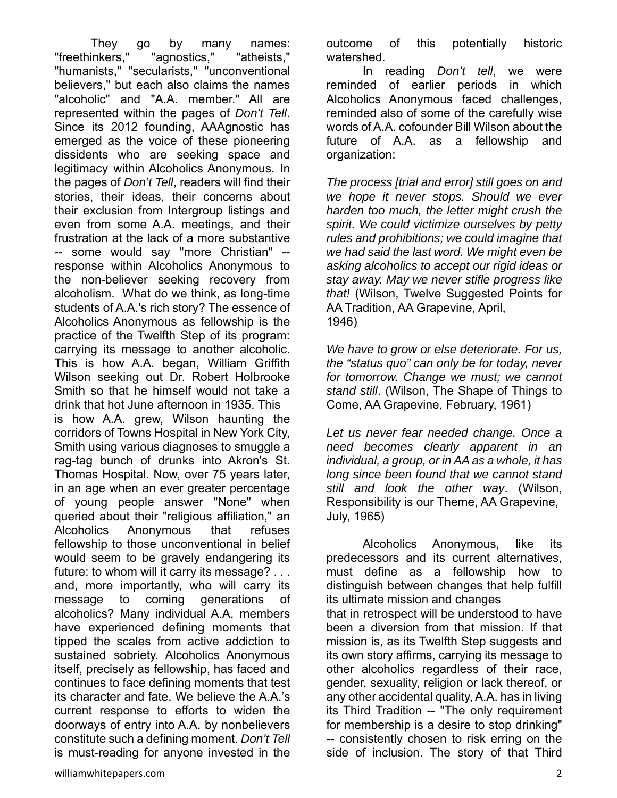They go by many names: "freethinkers," "agnostics," "atheists," "humanists," "secularists," "unconventional believers," but each also claims the names "alcoholic" and "A.A. member." All are represented within the pages of *Don't Tell*. Since its 2012 founding, AAAgnostic has emerged as the voice of these pioneering dissidents who are seeking space and legitimacy within Alcoholics Anonymous. In the pages of *Don't Tell*, readers will find their stories, their ideas, their concerns about their exclusion from Intergroup listings and even from some A.A. meetings, and their frustration at the lack of a more substantive -- some would say "more Christian" - response within Alcoholics Anonymous to the non-believer seeking recovery from alcoholism. What do we think, as long-time students of A.A.'s rich story? The essence of Alcoholics Anonymous as fellowship is the practice of the Twelfth Step of its program: carrying its message to another alcoholic. This is how A.A. began, William Griffith Wilson seeking out Dr. Robert Holbrooke Smith so that he himself would not take a drink that hot June afternoon in 1935. This is how A.A. grew, Wilson haunting the corridors of Towns Hospital in New York City, Smith using various diagnoses to smuggle a rag-tag bunch of drunks into Akron's St. Thomas Hospital. Now, over 75 years later, in an age when an ever greater percentage of young people answer "None" when queried about their "religious affiliation," an Alcoholics Anonymous that refuses fellowship to those unconventional in belief would seem to be gravely endangering its future: to whom will it carry its message? . . . and, more importantly, who will carry its message to coming generations of alcoholics? Many individual A.A. members have experienced defining moments that tipped the scales from active addiction to sustained sobriety. Alcoholics Anonymous itself, precisely as fellowship, has faced and continues to face defining moments that test its character and fate. We believe the A.A.'s current response to efforts to widen the doorways of entry into A.A. by nonbelievers constitute such a defining moment. *Don't Tell* is must-reading for anyone invested in the

outcome of this potentially historic watershed.

 In reading *Don't tell*, we were reminded of earlier periods in which Alcoholics Anonymous faced challenges, reminded also of some of the carefully wise words of A.A. cofounder Bill Wilson about the future of A.A. as a fellowship and organization:

*The process [trial and error] still goes on and we hope it never stops. Should we ever harden too much, the letter might crush the spirit. We could victimize ourselves by petty rules and prohibitions; we could imagine that we had said the last word. We might even be asking alcoholics to accept our rigid ideas or stay away. May we never stifle progress like that!* (Wilson, Twelve Suggested Points for AA Tradition, AA Grapevine, April, 1946)

*We have to grow or else deteriorate. For us, the "status quo" can only be for today, never for tomorrow. Change we must; we cannot stand still*. (Wilson, The Shape of Things to Come, AA Grapevine, February, 1961)

*Let us never fear needed change. Once a need becomes clearly apparent in an individual, a group, or in AA as a whole, it has long since been found that we cannot stand still and look the other way*. (Wilson, Responsibility is our Theme, AA Grapevine, July, 1965)

Alcoholics Anonymous, like its predecessors and its current alternatives, must define as a fellowship how to distinguish between changes that help fulfill its ultimate mission and changes that in retrospect will be understood to have been a diversion from that mission. If that mission is, as its Twelfth Step suggests and its own story affirms, carrying its message to other alcoholics regardless of their race, gender, sexuality, religion or lack thereof, or any other accidental quality, A.A. has in living its Third Tradition -- "The only requirement for membership is a desire to stop drinking" -- consistently chosen to risk erring on the side of inclusion. The story of that Third